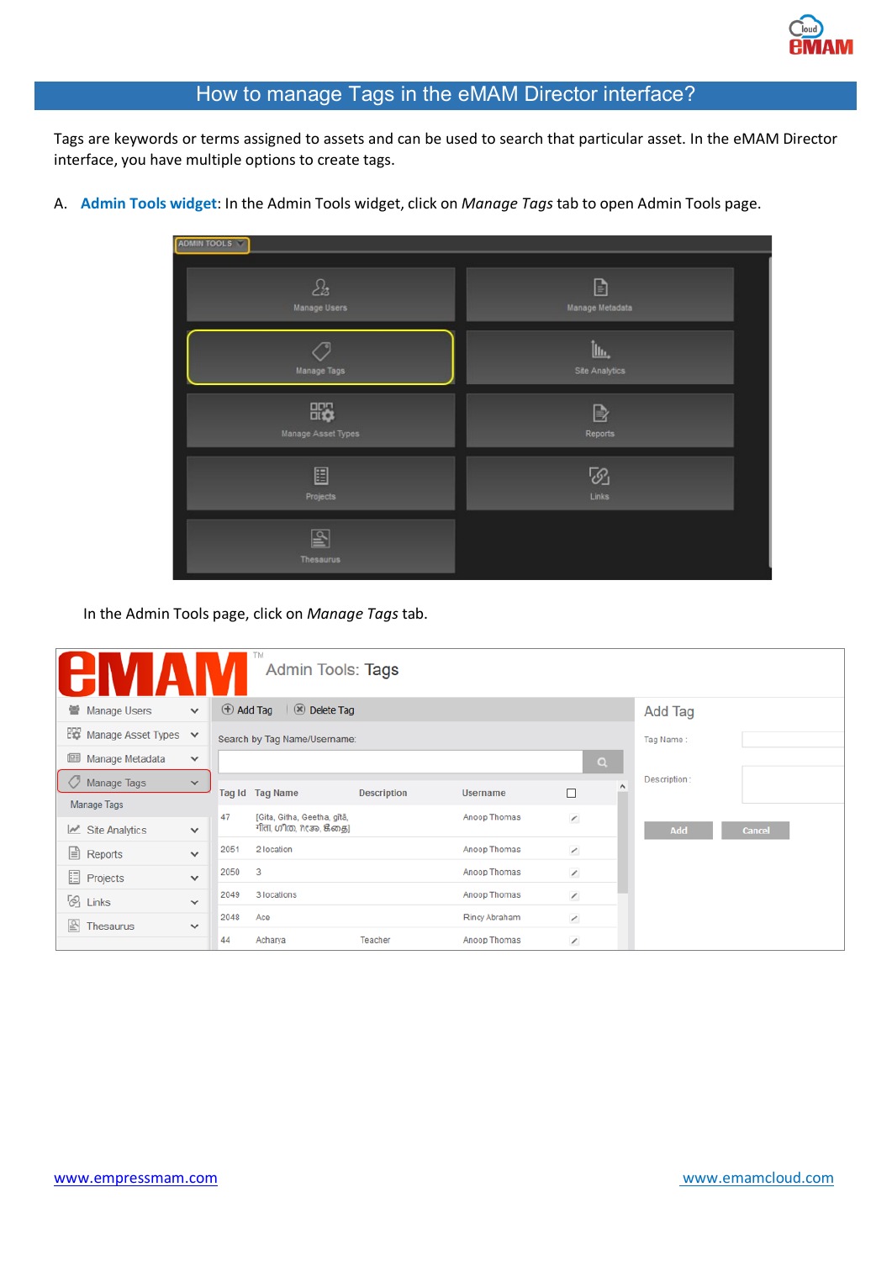## How to manage Tags in the eMAM Director interface?

Tags are keywords or terms assigned to assets and can be used to search that particular asset. In the eMAM Director interface, you have multiple options to create tags.

## A. **Admin Tools widget**: In the Admin Tools widget, click on *Manage Tags* tab to open Admin Tools page.



In the Admin Tools page, click on *Manage Tags* tab.

|                                      |              |                  | ГM<br>Admin Tools: Tags                                 |                    |               |                          |          |              |               |  |
|--------------------------------------|--------------|------------------|---------------------------------------------------------|--------------------|---------------|--------------------------|----------|--------------|---------------|--|
| 营 Manage Users                       | $\checkmark$ | $\oplus$ Add Tag | $  \otimes$ Delete Tag                                  |                    |               | <b>Add Tag</b>           |          |              |               |  |
| <b>EXP</b> Manage Asset Types $\vee$ |              |                  | Search by Tag Name/Username:<br>Tag Name:               |                    |               |                          |          |              |               |  |
| 画<br>Manage Metadata                 | $\checkmark$ |                  |                                                         |                    |               |                          | $\alpha$ |              |               |  |
| O<br>Manage Tags                     | $\checkmark$ |                  | Tag Id Tag Name                                         | <b>Description</b> | Username      | $\Box$                   | $\wedge$ | Description: |               |  |
| Manage Tags                          |              |                  |                                                         |                    |               |                          |          |              |               |  |
| $\mathbb{Z}$ Site Analytics          | $\checkmark$ | 47               | [Gita, Githa, Geetha, gītā,<br>गीता, ഗ്നീത, ಗೀತಾ, ജீதை] |                    | Anoop Thomas  | $\overline{\phantom{a}}$ |          | Add          | <b>Cancel</b> |  |
| $\Box$ Reports                       | $\checkmark$ | 2051             | 2 location                                              |                    | Anoop Thomas  | $\overline{\phantom{a}}$ |          |              |               |  |
| <b>E</b> Projects                    | $\checkmark$ | 2050             | 3                                                       |                    | Anoop Thomas  | $\overline{\phantom{a}}$ |          |              |               |  |
| $\otimes$ Links                      | $\checkmark$ | 2049             | 3 locations                                             |                    | Anoop Thomas  | $\overline{\phantom{a}}$ |          |              |               |  |
|                                      |              | 2048             | Ace                                                     |                    | Rincy Abraham | $\overline{\phantom{a}}$ |          |              |               |  |
| $\boxed{2}$ Thesaurus                | $\checkmark$ | 44               | Acharya                                                 | Teacher            | Anoop Thomas  | $\overline{\phantom{a}}$ |          |              |               |  |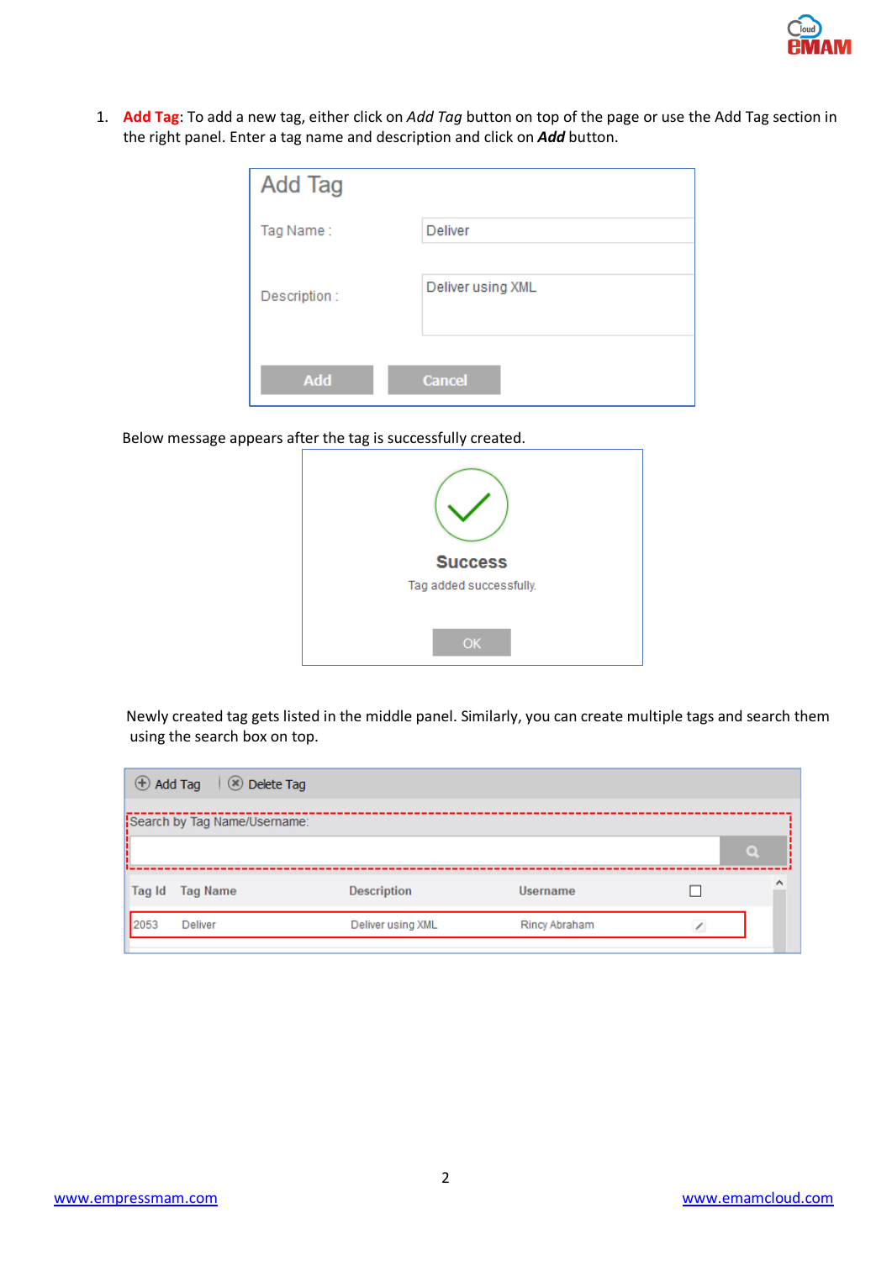1. **Add Tag**: To add a new tag, either click on *Add Tag* button on top of the page or use the Add Tag section in the right panel. Enter a tag name and description and click on *Add* button.

| Add Tag      |                   |
|--------------|-------------------|
| Tag Name:    | Deliver           |
| Description: | Deliver using XML |
| Add          | <b>Cancel</b>     |

Below message appears after the tag is successfully created.

| <b>Success</b>          |
|-------------------------|
| Tag added successfully. |
| OK                      |

 Newly created tag gets listed in the middle panel. Similarly, you can create multiple tags and search them using the search box on top.

|        | Add Tag (8) Delete Tag       |                    |                      |          |
|--------|------------------------------|--------------------|----------------------|----------|
|        | Search by Tag Name/Username: |                    |                      |          |
|        |                              |                    |                      | $\Omega$ |
| Tag Id | <b>Tag Name</b>              | <b>Description</b> | <b>Username</b>      | 灬        |
| 2053   | <b>Deliver</b>               | Deliver using XML  | <b>Rincy Abraham</b> |          |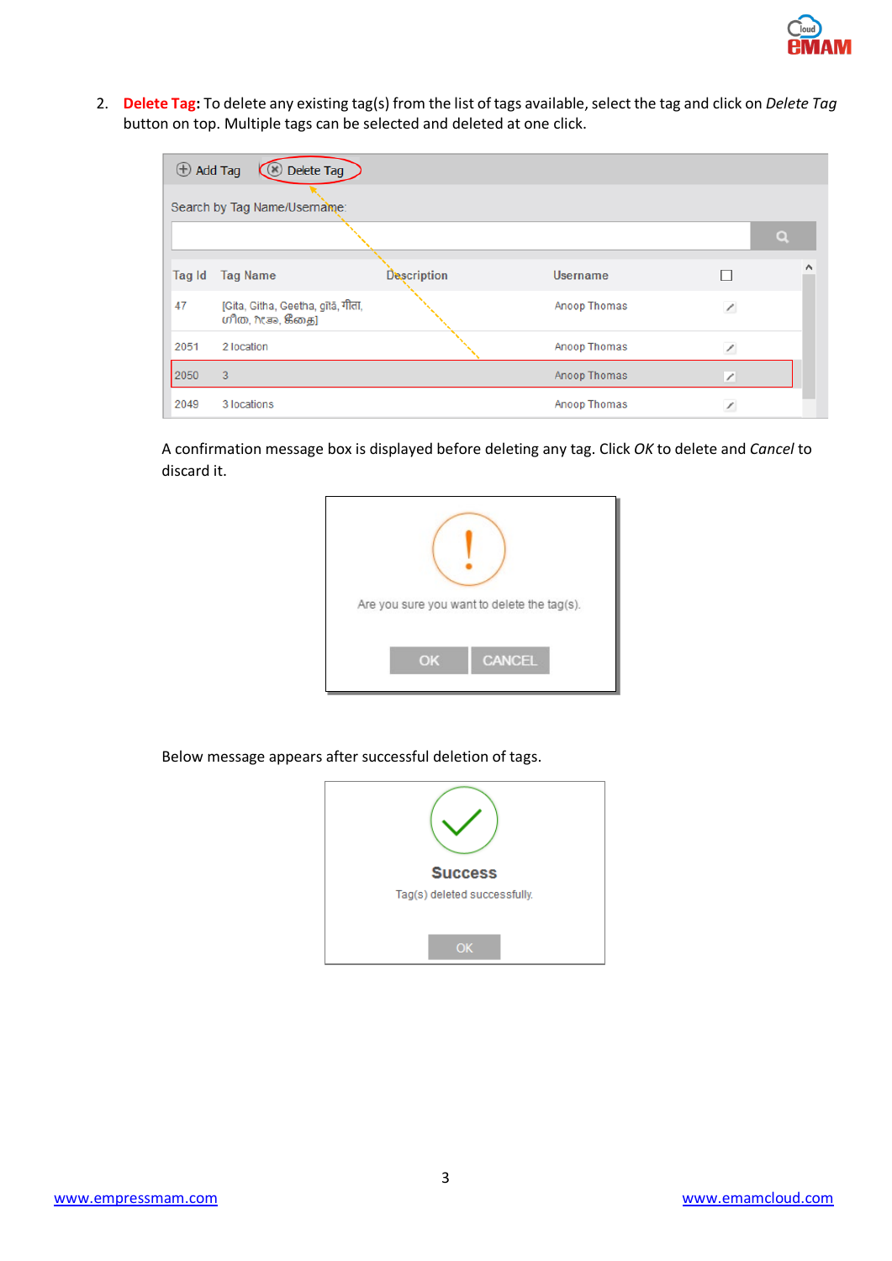2. **Delete Tag:** To delete any existing tag(s) from the list of tags available, select the tag and click on *Delete Tag* button on top. Multiple tags can be selected and deleted at one click.

| $\bigoplus$ Add Tag<br><b>C</b> Delete Tag |                                                       |                    |                 |                          |          |  |  |  |
|--------------------------------------------|-------------------------------------------------------|--------------------|-----------------|--------------------------|----------|--|--|--|
| Search by Tag Name/Username:               |                                                       |                    |                 |                          |          |  |  |  |
|                                            |                                                       |                    |                 |                          | $\Omega$ |  |  |  |
| Tag Id                                     | <b>Tag Name</b>                                       | <b>Description</b> | <b>Username</b> |                          | ∧        |  |  |  |
| 47                                         | [Gita, Githa, Geetha, gita, गीता,<br>ഗീത, ಗೀತಾ, கீதை] |                    | Anoop Thomas    | $\overline{\phantom{a}}$ |          |  |  |  |
| 2051                                       | 2 location                                            |                    | Anoop Thomas    |                          |          |  |  |  |
| 2050                                       | 3                                                     |                    | Anoop Thomas    | $\!\!\mathscr{I}\!$      |          |  |  |  |
| 2049                                       | 3 locations                                           |                    | Anoop Thomas    |                          |          |  |  |  |

A confirmation message box is displayed before deleting any tag. Click *OK* to delete and *Cancel* to discard it.



Below message appears after successful deletion of tags.

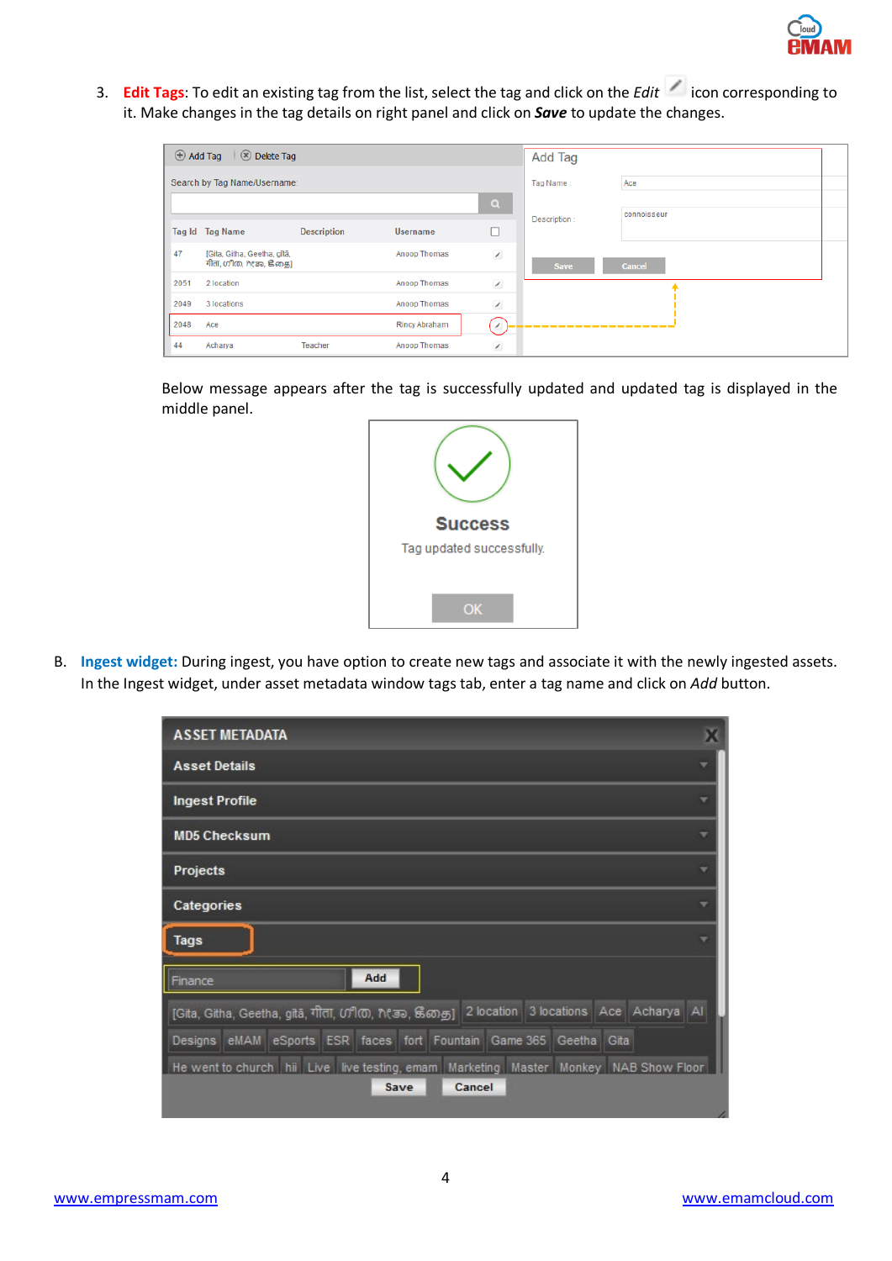3. **Edit Tags**: To edit an existing tag from the list, select the tag and click on the *Edit* icon corresponding to it. Make changes in the tag details on right panel and click on *Save* to update the changes.

| $\oplus$ Add Tag<br>$\sqrt{8}$ Delete Tag |                                                       |                    |                      |                          | Add Tag      |               |
|-------------------------------------------|-------------------------------------------------------|--------------------|----------------------|--------------------------|--------------|---------------|
| Search by Tag Name/Username:              |                                                       |                    |                      |                          | Tag Name:    | Ace           |
|                                           |                                                       |                    |                      | $\mathbf{Q}$             | Description: | connoisseur   |
|                                           | Tag Id Tag Name                                       | <b>Description</b> | <b>Username</b>      | □                        |              |               |
| 47                                        | [Gita, Githa, Geetha, gītā,<br>गीता, ഗീത, ಗೀತಾ, ജீதை] |                    | Anoop Thomas         | $\overline{\phantom{a}}$ | Save         | <b>Cancel</b> |
| 2051                                      | 2 location                                            |                    | Anoop Thomas         | $\overline{\phantom{a}}$ |              |               |
| 2049                                      | 3 locations                                           |                    | Anoop Thomas         | $\overline{\phantom{a}}$ |              |               |
| 2048                                      | Ace                                                   |                    | <b>Rincy Abraham</b> | $\overline{\phantom{a}}$ |              |               |
| 44                                        | Acharya                                               | Teacher            | Anoop Thomas         | $\overline{\phantom{a}}$ |              |               |

Below message appears after the tag is successfully updated and updated tag is displayed in the middle panel.



B. **Ingest widget:** During ingest, you have option to create new tags and associate it with the newly ingested assets. In the Ingest widget, under asset metadata window tags tab, enter a tag name and click on *Add* button.

| <b>ASSET METADATA</b>                                                                                                |  |
|----------------------------------------------------------------------------------------------------------------------|--|
| <b>Asset Details</b>                                                                                                 |  |
| <b>Ingest Profile</b>                                                                                                |  |
| <b>MD5 Checksum</b>                                                                                                  |  |
| Projects                                                                                                             |  |
| Categories                                                                                                           |  |
| <b>Tags</b>                                                                                                          |  |
| Add<br>Finance                                                                                                       |  |
| [Gita, Githa, Geetha, gita, गीता, ഗூிரை, n (கு), கீதை]   2 location   3 locations   Ace   Acharya   Al               |  |
| Designs eMAM eSports ESR faces fort Fountain Game 365 Geetha Gita                                                    |  |
| He went to church   hii   Live   live testing, emam   Marketing   Master   Monkey   NAB Show Floor<br>Cancel<br>Save |  |